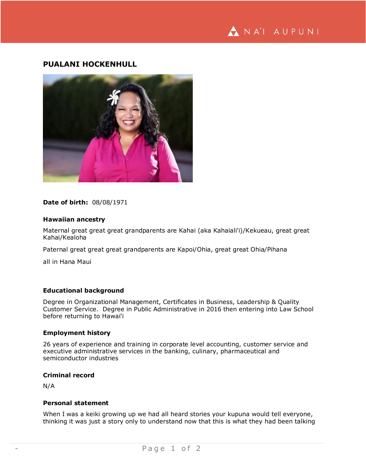# **PUALANI HOCKENHULL**



**Date of birth:** 08/08/1971

#### **Hawaiian ancestry**

Maternal great great great grandparents are Kahai (aka Kahaiali'i)/Kekueau, great great Kahai/Kealoha

Paternal great great great grandparents are Kapoi/Ohia, great great Ohia/Pihana

all in Hana Maui

#### **Educational background**

Degree in Organizational Management, Certificates in Business, Leadership & Quality Customer Service. Degree in Public Administrative in 2016 then entering into Law School before returning to Hawai'i

## **Employment history**

26 years of experience and training in corporate level accounting, customer service and executive administrative services in the banking, culinary, pharmaceutical and semiconductor industries

# **Criminal record**

N/A

#### **Personal statement**

When I was a keiki growing up we had all heard stories your kupuna would tell everyone, thinking it was just a story only to understand now that this is what they had been talking